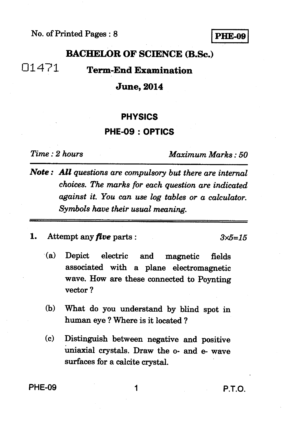## **No. of Printed Pages : 8 I PHE-09 I**

## **BACHELOR OF SCIENCE (B.Sc.)**

01471 **Term-End Examination** 

## **June, 2014**

### **PHYSICS**

## **PHE-09 : OPTICS**

*Time : 2 hours Maximum Marks : 50* 

- *Note : All questions are compulsory but there are internal choices. The marks for each question are indicated against it. You can use log tables or a calculator. Symbols have their usual meaning.*
- **1.** Attempt any *five* **parts :**  $3 \times 5 = 15$

- **(a) Depict electric and magnetic fields associated with a plane electromagnetic wave. How are these connected to Poynting vector ?**
- **(b) What do you understand by blind spot in human eye ? Where is it located ?**
- **(c) Distinguish between negative and positive**  uniaxial crystals. Draw the o- and e- wave **surfaces for a calcite crystal.**

**PHE-09 1 1 P.T.O.**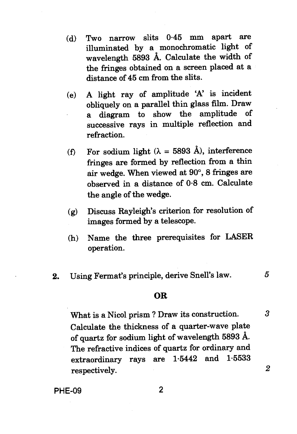- **(d) Two narrow slits 0.45 mm apart are illuminated by a monochromatic light of wavelength 5893** A. **Calculate the width of the fringes obtained on a screen placed at a distance of 45 cm from the slits.**
- **(e) A light ray of amplitude 'A' is incident obliquely on a parallel thin glass film. Draw a diagram to show the amplitude of successive rays in multiple reflection and refraction.**
- **(f) For sodium light (A = 5893 A), interference fringes are formed by reflection from a thin air wedge. When viewed at 90°, 8 fringes are observed in a distance of 0.8 cm. Calculate the angle of the wedge.**
- **(g) Discuss Rayleigh's criterion for resolution of images formed by a telescope.**
- **(h) Name the three prerequisites for LASER operation.**
- **2. Using Fermat's principle, derive Snell's law. 5**

#### **OR**

**What is a Nicol prism ? Draw its construction.** *3*  **Calculate the thickness of a quarter-wave plate of quartz for sodium light of wavelength 5893** A. **The refractive indices of quartz for ordinary and extraordinary rays are 1.5442 and 1.5533 respectively.** *2*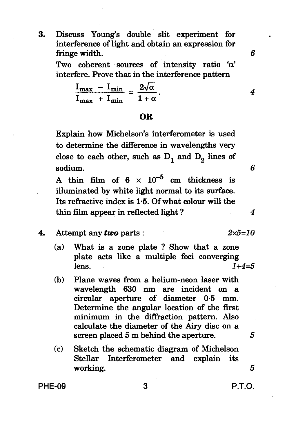**3. Discuss Young's double slit experiment for interference of light and obtain an expression for fringe width.** 

**Two coherent sources of intensity ratio 'a'**  interfere. Prove that in the interference pattern<br> $\frac{I_{\text{max}} - I_{\text{min}}}{I_{\text{max}}} = \frac{2\sqrt{\alpha}}{1-\alpha}$ .

$$
\frac{I_{\max} - I_{\min}}{I_{\max} + I_{\min}} = \frac{2\sqrt{\alpha}}{1 + \alpha}.
$$

### **OR**

**Explain how Michelson's interferometer is used to determine the difference in wavelengths very**  close to each other, such as  $D_1$  and  $D_2$  lines of **sodium.** 

A thin film of  $6 \times 10^{-5}$  cm thickness is **illuminated by white light normal to its surface. Its refractive index is 1.5. Of what colour will the thin film appear in reflected light ?** 

**4.** Attempt any *two* parts :  $2 \times 5 = 10$ 

- **(a) What is a zone plate ? Show that a zone plate acts like a multiple foci converging lens.** *1+4=5*
- **(b) Plane waves from a helium-neon laser with wavelength 630 nm are incident on a circular aperture of diameter 0.5 mm. Determine the angular location of the first minimum in the diffraction pattern. Also calculate the diameter of the Airy disc on a screen placed 5 m behind the aperture. 5**
- **(c) Sketch the schematic diagram of Michelson Stellar Interferometer and explain its working.** *5*

**PHE-09 3 P.T.O.** 

6

4

*4*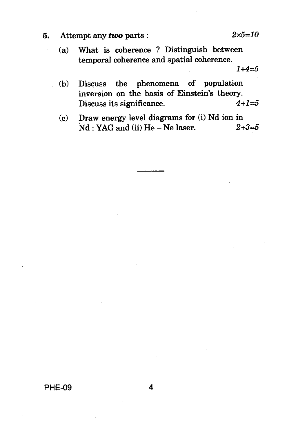## **5.** Attempt any *two* parts :  $2 \times 5 = 10$

(a) What is coherence ? Distinguish between temporal coherence and spatial coherence.

- (b) Discuss the phenomena of population inversion on the basis of Einstein's theory.<br>Discuss its significance.  $4+1=5$ Discuss its significance.
- (c) Draw energy level diagrams for (i) Nd ion in<br>Nd · YAG and (ii) He Ne laser.  $2+3=5$  $Nd: YAG$  and (ii)  $He - Ne$  laser.

**PHE-09 4** 

 $1+4=5$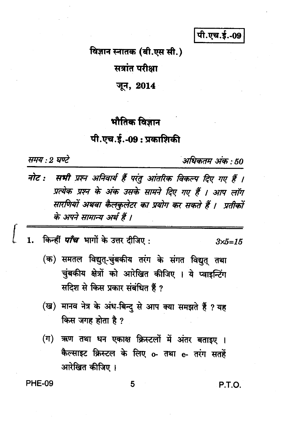पी.एच.ई.-09

विज्ञान स्नातक (बी.एस सी.)

सत्रांत परीक्षा

जून, 2014

# भौतिक विज्ञान

## पी.एच.ई.-09 : प्रकाशिकी

समय : २ घण्टे

अधिकतम अंक : 50

- नोट : सभी प्रश्न अनिवार्य हैं परंतु आंतरिक विकल्प दिए गए हैं । प्रत्येक प्रश्न के अंक उसके सामने दिए गए हैं । आप लॉग सारणियों अथवा कैलकुलेटर का प्रयोग कर सकते हैं । प्रतीकों के अपने सामान्य अर्थ हैं ।
- किन्हीं *पाँच* भागों के उत्तर दीजिए : 1.

 $3x5 = 15$ 

- (क) समतल विद्युत्-चुंबकीय तरंग के संगत विद्युत् तथा चुंबकीय क्षेत्रों को आरेखित कीजिए । ये प्वाइन्टिंग सदिश से किस प्रकार संबंधित हैं ?
- (ख) मानव नेत्र के अंध-बिन्दु से आप क्या समझते हैं ? यह किस जगह होता है ?
- (ग) ऋण तथा धन एकाक्ष क्रिस्टलों में अंतर बताइए । कैल्साइट क्रिस्टल के लिए o- तथा e- तरंग सतहें आरेखित कीजिए ।

**PHE-09** 

P.T.O.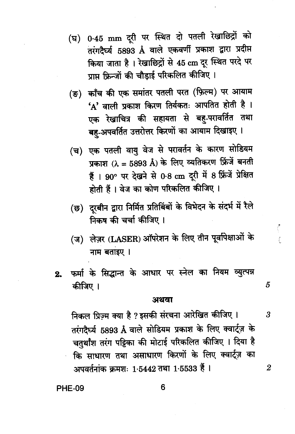- (घ) 0.45 mm दूरी पर स्थित दो पतली रेखाछिद्रों को तरंगदैर्घ्य 5893 Å वाले एकवर्णी प्रकाश द्वारा प्रदीप्त किया जाता है। रेखाछिद्रों से 45 cm दूर स्थित परदे पर प्राप्त फ्रिन्जों की चौडाई परिकलित कीजिए।
- (ङ) काँच की एक समांतर पतली परत (फ़िल्म) पर आयाम 'A' वाली प्रकाश किरण तिर्यकतः आपतित होती है । एक रेखाचित्र की सहायता से बहु-परावर्तित तथा बहु-अपवर्तित उत्तरोत्तर किरणों का आयाम दिखाइए ।
- (च) एक पतली वायु वेज से परावर्तन के कारण सोडियम प्रकाश ( $\lambda = 5893$  Å) के लिए व्यतिकरण फ्रिंजें बनती हैं। 90° पर देखने से 0.8 cm दूरी में 8 फ्रिंजें प्रेक्षित होती हैं । वेज का कोण परिकलित कीजिए ।
- (छ) दूरबीन द्वारा निर्मित प्रतिबिंबों के विभेदन के संदर्भ में रैले निकष की चर्चा कीजिए ।
- (ज) लेज़र (LASER) ऑपरेशन के लिए तीन पूर्वापेक्षाओं के नाम बताइए ।
- फर्मा के सिद्धान्त के आधार पर स्नेल का नियम व्युत्पन्न  $2.$ कीजिए ।

#### अथवा

5

3

 $\overline{2}$ 

निकल प्रिज़्म क्या है ? इसकी संरचना आरेखित कीजिए । तरंगदैर्घ्य 5893 Å वाले सोडियम प्रकाश के लिए क्वार्ट्ज़ के चतुर्थांश तरंग पट्टिका की मोटाई परिकलित कीजिए । दिया है कि साधारण तथा असाधारण किरणों के लिए क्वार्ट्ज़ का अपवर्तनांक क्रमशः 1.5442 तथा 1.5533 हैं।

### **PHE-09**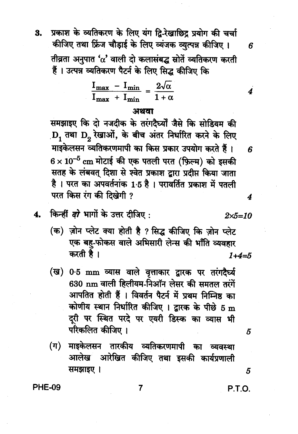प्रकाश के व्यतिकरण के लिए यंग द्वि-रेखाछिद्र प्रयोग की चर्चा 3. कीजिए तथा फ्रिंज चौड़ाई के लिए व्यंजक व्युत्पन्न कीजिए। तीव्रता अनुपात ' $\alpha$ ' वाली दो कलासंबद्ध स्रोतें व्यतिकरण करती हैं। उत्पन्न व्यतिकरण पैटर्न के लिए सिद्ध कीजिए कि

$$
\frac{I_{\max} - I_{\min}}{I_{\max} + I_{\min}} = \frac{2\sqrt{\alpha}}{1 + \alpha}
$$

#### अथवा

समझाइए कि दो नजदीक के तरंगदैर्घ्यों जैसे कि सोडियम की  $D_1$  तथा  $D_2$  रेखाओं, के बीच अंतर निर्धारित करने के लिए माइकेलसन व्यतिकरणमापी का किस प्रकार उपयोग करते हैं।  $6 \times 10^{-5}$  cm मोटाई की एक पतली परत (फ़िल्म) को इसकी सतह के लंबवत् दिशा से श्वेत प्रकाश द्वारा प्रदीप्त किया जाता है। परत का अपवर्तनांक 1.5 है। परावर्तित प्रकाश में पतली परत किस रंग की दिखेगी ?

- किन्हीं *दो* भागों के उत्तर दीजिए : 4.
	- (क) ज़ोन प्लेट क्या होती है ? सिद्ध कीजिए कि ज़ोन प्लेट एक बह-फोकस वाले अभिसारी लेन्स की भाँति व्यवहार करती है।  $1+4=5$
	- (ख) 0.5 mm व्यास वाले वृत्ताकार द्वारक पर तरंगदैर्घ्य 630 nm वाली हिलीयम-निऑन लेसर की समतल तरंगें आपतित होती हैं । विवर्तन पैटर्न में प्रथम निम्निष्ठ का कोणीय स्थान निर्धारित कीजिए । द्वारक के पीछे 5 m दरी पर स्थित परदे पर एयरी डिस्क का व्यास भी परिकलित कीजिए ।
	- माइकेलसन तारकीय व्यतिकरणमापी का व्यवस्था  $(\boldsymbol{\pi})$ आलेख आरेखित कीजिए तथा इसकी कार्यप्रणाली समझाइए।

**PHE-09** 

**P.T.O.** 

5

5

 $2 \times 5 = 10$ 

6

4

 $\boldsymbol{\kappa}$ 

4

 $\overline{7}$